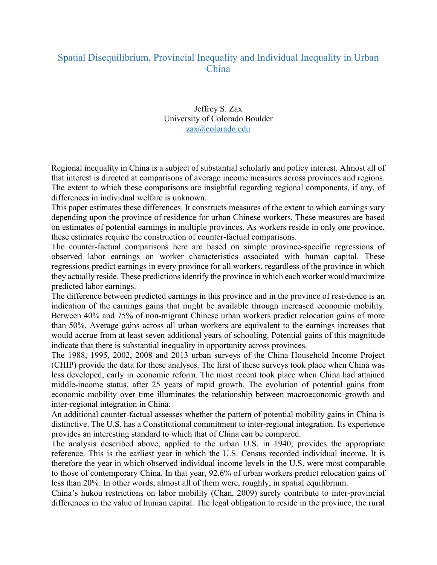## Spatial Disequilibrium, Provincial Inequality and Individual Inequality in Urban China

## Jeffrey S. Zax University of Colorado Boulder zax@colorado.edu

Regional inequality in China is a subject of substantial scholarly and policy interest. Almost all of that interest is directed at comparisons of average income measures across provinces and regions. The extent to which these comparisons are insightful regarding regional components, if any, of differences in individual welfare is unknown.

This paper estimates these differences. It constructs measures of the extent to which earnings vary depending upon the province of residence for urban Chinese workers. These measures are based on estimates of potential earnings in multiple provinces. As workers reside in only one province, these estimates require the construction of counter-factual comparisons.

The counter-factual comparisons here are based on simple province-specific regressions of observed labor earnings on worker characteristics associated with human capital. These regressions predict earnings in every province for all workers, regardless of the province in which they actually reside. These predictions identify the province in which each worker would maximize predicted labor earnings.

The difference between predicted earnings in this province and in the province of resi-dence is an indication of the earnings gains that might be available through increased economic mobility. Between 40% and 75% of non-migrant Chinese urban workers predict relocation gains of more than 50%. Average gains across all urban workers are equivalent to the earnings increases that would accrue from at least seven additional years of schooling. Potential gains of this magnitude indicate that there is substantial inequality in opportunity across provinces.

The 1988, 1995, 2002, 2008 and 2013 urban surveys of the China Household Income Project (CHIP) provide the data for these analyses. The first of these surveys took place when China was less developed, early in economic reform. The most recent took place when China had attained middle-income status, after 25 years of rapid growth. The evolution of potential gains from economic mobility over time illuminates the relationship between macroeconomic growth and inter-regional integration in China.

An additional counter-factual assesses whether the pattern of potential mobility gains in China is distinctive. The U.S. has a Constitutional commitment to inter-regional integration. Its experience provides an interesting standard to which that of China can be compared.

The analysis described above, applied to the urban U.S. in 1940, provides the appropriate reference. This is the earliest year in which the U.S. Census recorded individual income. It is therefore the year in which observed individual income levels in the U.S. were most comparable to those of contemporary China. In that year, 92.6% of urban workers predict relocation gains of less than 20%. In other words, almost all of them were, roughly, in spatial equilibrium.

China's hukou restrictions on labor mobility (Chan, 2009) surely contribute to inter-provincial differences in the value of human capital. The legal obligation to reside in the province, the rural